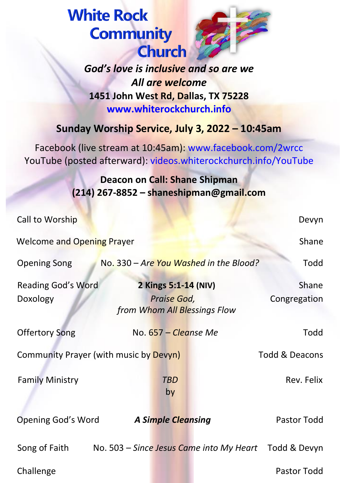**White Rock Community Church** 



*God's love is inclusive and so are we All are welcome* **1451 John West Rd, Dallas, TX 75228 www.whiterockchurch.info**

## **Sunday Worship Service, July 3, 2022 – 10:45am**

Facebook (live stream at 10:45am): www.facebook.com/2wrcc YouTube (posted afterward): videos.whiterockchurch.info/YouTube

> **Deacon on Call: Shane Shipman (214) 267-8852 – shaneshipman@gmail.com**

| Call to Worship                        |                                          |                                                                     |  | Devyn                 |
|----------------------------------------|------------------------------------------|---------------------------------------------------------------------|--|-----------------------|
| <b>Welcome and Opening Prayer</b>      |                                          |                                                                     |  | Shane                 |
| <b>Opening Song</b>                    |                                          | No. 330 - Are You Washed in the Blood?                              |  | Todd                  |
| Reading God's Word<br>Doxology         |                                          | 2 Kings 5:1-14 (NIV)<br>Praise God,<br>from Whom All Blessings Flow |  | Shane<br>Congregation |
| <b>Offertory Song</b>                  |                                          | No. 657 – Cleanse Me                                                |  | Todd                  |
| Community Prayer (with music by Devyn) |                                          |                                                                     |  | Todd & Deacons        |
| <b>Family Ministry</b>                 |                                          | <b>TBD</b><br>by                                                    |  | Rev. Felix            |
| Opening God's Word                     |                                          | <b>A Simple Cleansing</b>                                           |  | Pastor Todd           |
| Song of Faith                          | No. 503 – Since Jesus Came into My Heart |                                                                     |  | Todd & Devyn          |
| Challenge                              |                                          |                                                                     |  | Pastor Todd           |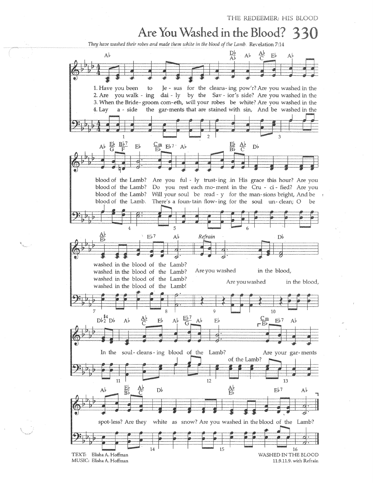THE REDEEMER: HIS BLOOD

## Are You Washed in the Blood?

They have washed their robes and made them white in the blood of the Lamb. Revelation 7:14

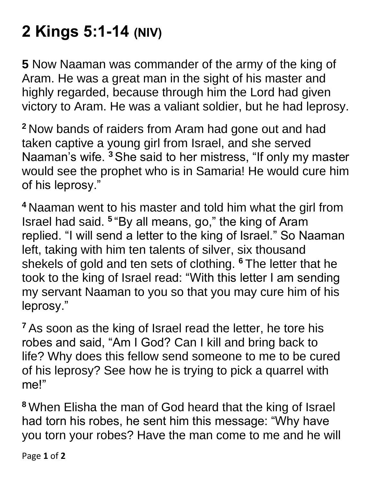## **2 Kings 5:1-14 (NIV)**

**5** Now Naaman was commander of the army of the king of Aram. He was a great man in the sight of his master and highly regarded, because through him the Lord had given victory to Aram. He was a valiant soldier, but he had leprosy.

**<sup>2</sup>** Now bands of raiders from Aram had gone out and had taken captive a young girl from Israel, and she served Naaman's wife. **<sup>3</sup>** She said to her mistress, "If only my master would see the prophet who is in Samaria! He would cure him of his leprosy."

**<sup>4</sup>** Naaman went to his master and told him what the girl from Israel had said. **<sup>5</sup>** "By all means, go," the king of Aram replied. "I will send a letter to the king of Israel." So Naaman left, taking with him ten talents of silver, six thousand shekels of gold and ten sets of clothing. **<sup>6</sup>** The letter that he took to the king of Israel read: "With this letter I am sending my servant Naaman to you so that you may cure him of his leprosy."

**<sup>7</sup>** As soon as the king of Israel read the letter, he tore his robes and said, "Am I God? Can I kill and bring back to life? Why does this fellow send someone to me to be cured of his leprosy? See how he is trying to pick a quarrel with me!"

**<sup>8</sup>** When Elisha the man of God heard that the king of Israel had torn his robes, he sent him this message: "Why have you torn your robes? Have the man come to me and he will

Page **1** of **2**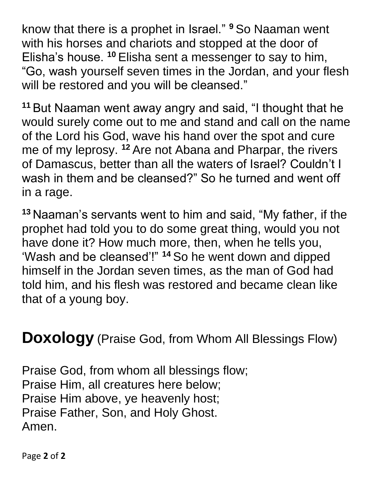know that there is a prophet in Israel." **<sup>9</sup>** So Naaman went with his horses and chariots and stopped at the door of Elisha's house. **<sup>10</sup>** Elisha sent a messenger to say to him, "Go, wash yourself seven times in the Jordan, and your flesh will be restored and you will be cleansed."

**<sup>11</sup>** But Naaman went away angry and said, "I thought that he would surely come out to me and stand and call on the name of the Lord his God, wave his hand over the spot and cure me of my leprosy. **<sup>12</sup>** Are not Abana and Pharpar, the rivers of Damascus, better than all the waters of Israel? Couldn't I wash in them and be cleansed?" So he turned and went off in a rage.

**<sup>13</sup>** Naaman's servants went to him and said, "My father, if the prophet had told you to do some great thing, would you not have done it? How much more, then, when he tells you, 'Wash and be cleansed'!" **<sup>14</sup>** So he went down and dipped himself in the Jordan seven times, as the man of God had told him, and his flesh was restored and became clean like that of a young boy.

**Doxology** (Praise God, from Whom All Blessings Flow)

Praise God, from whom all blessings flow; Praise Him, all creatures here below; Praise Him above, ye heavenly host; Praise Father, Son, and Holy Ghost. Amen.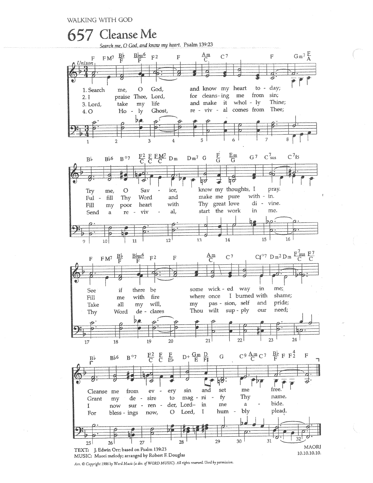WALKING WITH GOD



Arr. © Copyright 1986 by Word Music (a div. of WORD MUSIC). All rights reserved. Used by permission.